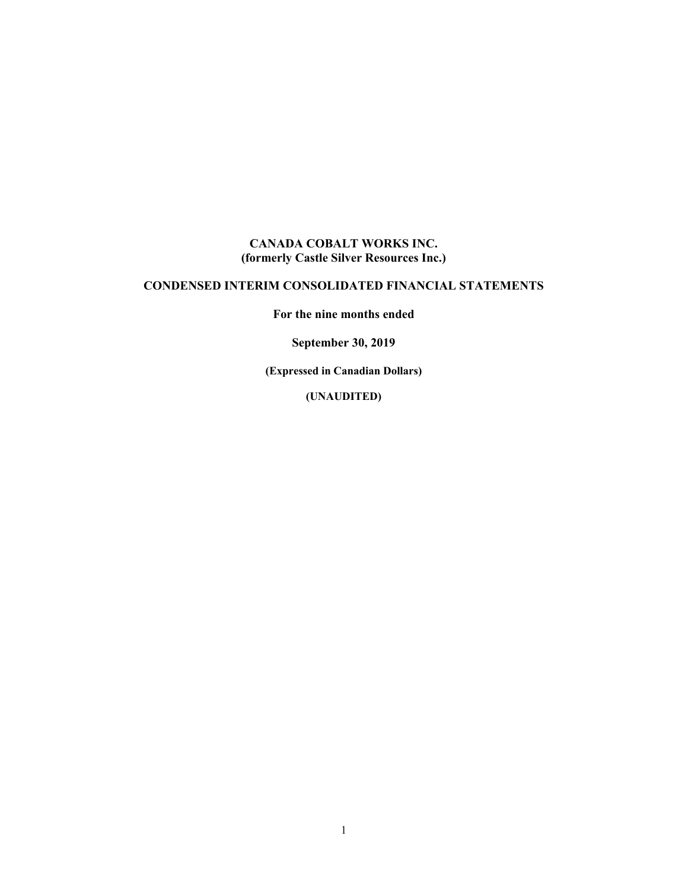#### **CANADA COBALT WORKS INC. (formerly Castle Silver Resources Inc.)**

## **CONDENSED INTERIM CONSOLIDATED FINANCIAL STATEMENTS**

**For the nine months ended** 

**September 30, 2019** 

**(Expressed in Canadian Dollars)** 

**(UNAUDITED)**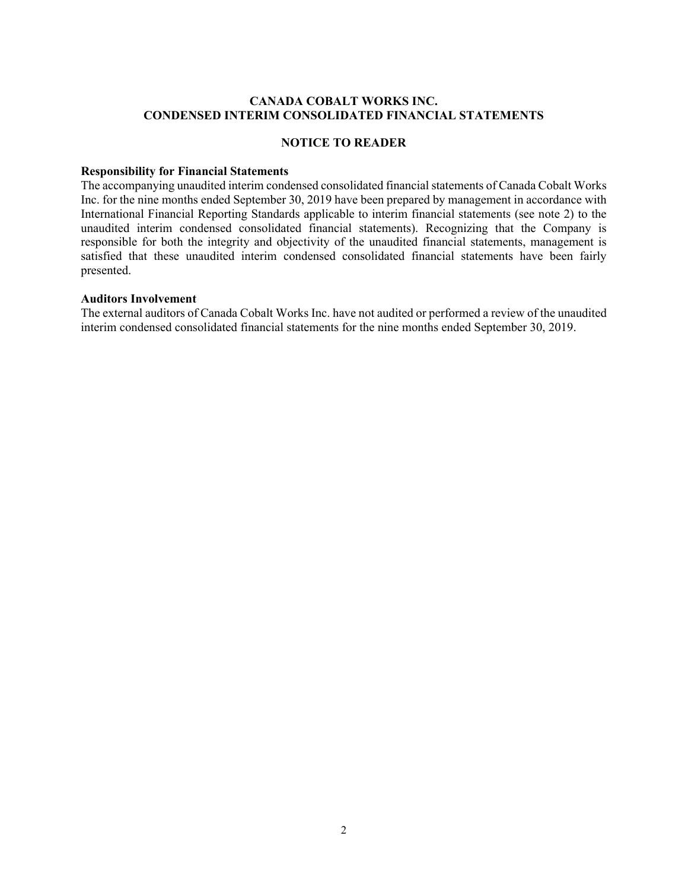#### **CANADA COBALT WORKS INC. CONDENSED INTERIM CONSOLIDATED FINANCIAL STATEMENTS**

#### **NOTICE TO READER**

#### **Responsibility for Financial Statements**

The accompanying unaudited interim condensed consolidated financial statements of Canada Cobalt Works Inc. for the nine months ended September 30, 2019 have been prepared by management in accordance with International Financial Reporting Standards applicable to interim financial statements (see note 2) to the unaudited interim condensed consolidated financial statements). Recognizing that the Company is responsible for both the integrity and objectivity of the unaudited financial statements, management is satisfied that these unaudited interim condensed consolidated financial statements have been fairly presented.

#### **Auditors Involvement**

The external auditors of Canada Cobalt Works Inc. have not audited or performed a review of the unaudited interim condensed consolidated financial statements for the nine months ended September 30, 2019.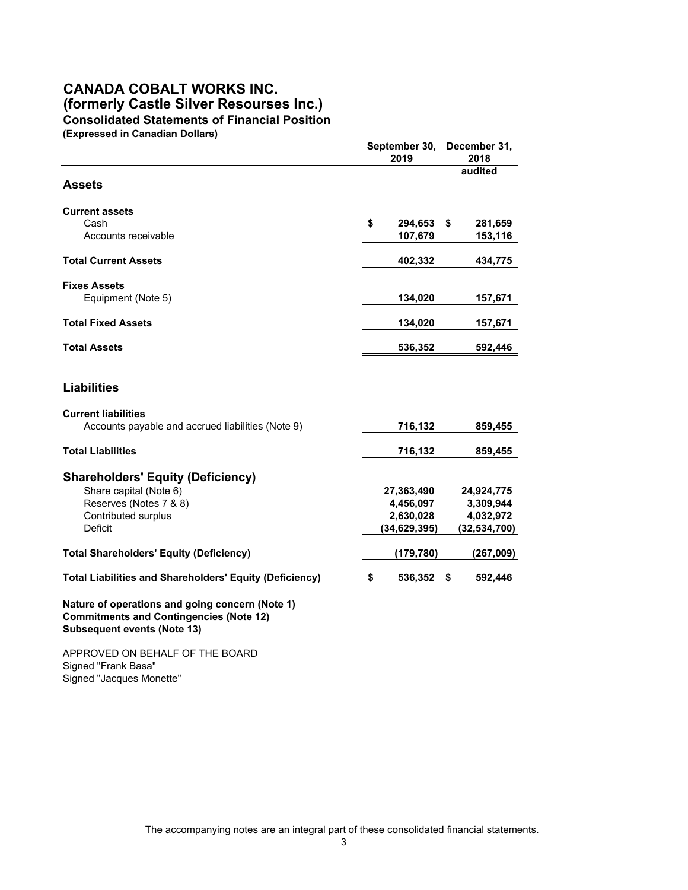#### **CANADA COBALT WORKS INC. (formerly Castle Silver Resourses Inc.) Consolidated Statements of Financial Position (Expressed in Canadian Dollars)**

|                                                                                                                                         | September 30,<br>2019 |                    |    | December 31,<br>2018 |
|-----------------------------------------------------------------------------------------------------------------------------------------|-----------------------|--------------------|----|----------------------|
| <b>Assets</b>                                                                                                                           |                       |                    |    | audited              |
| <b>Current assets</b>                                                                                                                   |                       |                    |    |                      |
| Cash<br>Accounts receivable                                                                                                             | \$                    | 294.653<br>107,679 | \$ | 281,659<br>153,116   |
|                                                                                                                                         |                       |                    |    |                      |
| <b>Total Current Assets</b>                                                                                                             |                       | 402,332            |    | 434,775              |
| <b>Fixes Assets</b>                                                                                                                     |                       |                    |    |                      |
| Equipment (Note 5)                                                                                                                      |                       | 134,020            |    | 157,671              |
| <b>Total Fixed Assets</b>                                                                                                               |                       | 134,020            |    | 157,671              |
| <b>Total Assets</b>                                                                                                                     |                       | 536,352            |    | 592,446              |
| <b>Liabilities</b>                                                                                                                      |                       |                    |    |                      |
| <b>Current liabilities</b><br>Accounts payable and accrued liabilities (Note 9)                                                         |                       | 716,132            |    | 859,455              |
| <b>Total Liabilities</b>                                                                                                                |                       | 716,132            |    | 859,455              |
| <b>Shareholders' Equity (Deficiency)</b>                                                                                                |                       |                    |    |                      |
| Share capital (Note 6)                                                                                                                  |                       | 27,363,490         |    | 24,924,775           |
| Reserves (Notes 7 & 8)                                                                                                                  |                       | 4,456,097          |    | 3,309,944            |
| Contributed surplus                                                                                                                     |                       | 2,630,028          |    | 4,032,972            |
| Deficit                                                                                                                                 |                       | (34, 629, 395)     |    | (32, 534, 700)       |
| <b>Total Shareholders' Equity (Deficiency)</b>                                                                                          |                       | (179, 780)         |    | (267,009)            |
| <b>Total Liabilities and Shareholders' Equity (Deficiency)</b>                                                                          | S                     | 536,352            | \$ | 592,446              |
| Nature of operations and going concern (Note 1)<br><b>Commitments and Contingencies (Note 12)</b><br><b>Subsequent events (Note 13)</b> |                       |                    |    |                      |

APPROVED ON BEHALF OF THE BOARD Signed "Frank Basa" Signed "Jacques Monette"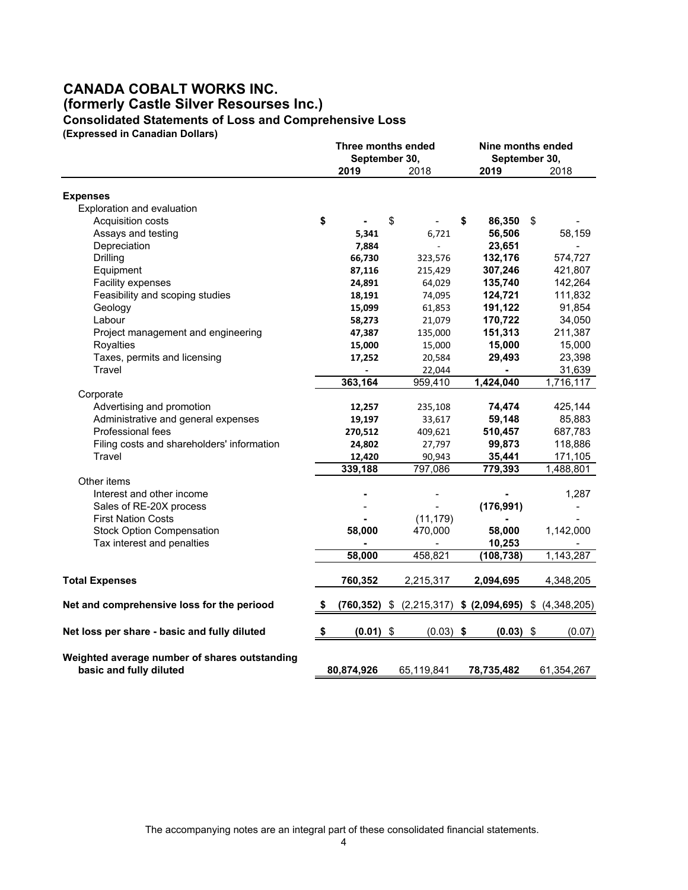#### **CANADA COBALT WORKS INC. (formerly Castle Silver Resourses Inc.) Consolidated Statements of Loss and Comprehensive Loss**

**(Expressed in Canadian Dollars)**

|                                                                          | Three months ended<br>September 30, |             |    | Nine months ended<br>September 30, |                   |    |                     |
|--------------------------------------------------------------------------|-------------------------------------|-------------|----|------------------------------------|-------------------|----|---------------------|
|                                                                          |                                     | 2019        |    | 2018                               | 2019              |    | 2018                |
|                                                                          |                                     |             |    |                                    |                   |    |                     |
| <b>Expenses</b><br>Exploration and evaluation                            |                                     |             |    |                                    |                   |    |                     |
| Acquisition costs                                                        | \$                                  |             | \$ |                                    | \$<br>86,350      | \$ |                     |
| Assays and testing                                                       |                                     | 5,341       |    | 6,721                              | 56,506            |    | 58,159              |
| Depreciation                                                             |                                     | 7,884       |    | $\overline{\phantom{a}}$           | 23,651            |    |                     |
| Drilling                                                                 |                                     | 66,730      |    | 323,576                            | 132,176           |    | 574,727             |
| Equipment                                                                |                                     | 87,116      |    | 215,429                            | 307,246           |    | 421,807             |
| Facility expenses                                                        |                                     |             |    |                                    | 135,740           |    | 142,264             |
|                                                                          |                                     | 24,891      |    | 64,029                             | 124,721           |    |                     |
| Feasibility and scoping studies                                          |                                     | 18,191      |    | 74,095                             |                   |    | 111,832             |
| Geology<br>Labour                                                        |                                     | 15,099      |    | 61,853                             | 191,122           |    | 91,854<br>34,050    |
|                                                                          |                                     | 58,273      |    | 21,079                             | 170,722           |    |                     |
| Project management and engineering<br>Royalties                          |                                     | 47,387      |    | 135,000                            | 151,313<br>15,000 |    | 211,387<br>15,000   |
| Taxes, permits and licensing                                             |                                     | 15,000      |    | 15,000                             |                   |    | 23,398              |
| Travel                                                                   |                                     | 17,252      |    | 20,584                             | 29,493            |    |                     |
|                                                                          |                                     | 363,164     |    | 22,044<br>959,410                  | ٠<br>1,424,040    |    | 31,639<br>1,716,117 |
| Corporate                                                                |                                     |             |    |                                    |                   |    |                     |
| Advertising and promotion                                                |                                     | 12,257      |    | 235,108                            | 74,474            |    | 425,144             |
| Administrative and general expenses                                      |                                     | 19,197      |    | 33,617                             | 59,148            |    | 85,883              |
| Professional fees                                                        |                                     | 270,512     |    | 409,621                            | 510,457           |    | 687,783             |
| Filing costs and shareholders' information                               |                                     | 24,802      |    | 27,797                             | 99,873            |    | 118,886             |
| Travel                                                                   |                                     | 12,420      |    | 90,943                             | 35,441            |    | 171,105             |
|                                                                          |                                     | 339,188     |    | 797,086                            | 779,393           |    | 1,488,801           |
| Other items                                                              |                                     |             |    |                                    |                   |    |                     |
| Interest and other income                                                |                                     |             |    |                                    |                   |    | 1,287               |
| Sales of RE-20X process                                                  |                                     |             |    |                                    | (176, 991)        |    |                     |
| <b>First Nation Costs</b>                                                |                                     |             |    | (11, 179)                          |                   |    |                     |
| <b>Stock Option Compensation</b>                                         |                                     | 58,000      |    | 470,000                            | 58,000            |    | 1,142,000           |
| Tax interest and penalties                                               |                                     |             |    |                                    | 10,253            |    |                     |
|                                                                          |                                     | 58,000      |    | 458,821                            | (108, 738)        |    | 1,143,287           |
|                                                                          |                                     |             |    |                                    |                   |    |                     |
| <b>Total Expenses</b>                                                    |                                     | 760,352     |    | 2,215,317                          | 2,094,695         |    | 4,348,205           |
| Net and comprehensive loss for the periood                               | S                                   | (760,352)   | \$ | (2, 215, 317)                      | \$ (2,094,695)    |    | \$ (4,348,205)      |
|                                                                          |                                     |             |    |                                    |                   |    |                     |
| Net loss per share - basic and fully diluted                             | S                                   | $(0.01)$ \$ |    | $(0.03)$ \$                        | $(0.03)$ \$       |    | (0.07)              |
| Weighted average number of shares outstanding<br>basic and fully diluted |                                     | 80,874,926  |    | 65,119,841                         | 78,735,482        |    | 61,354,267          |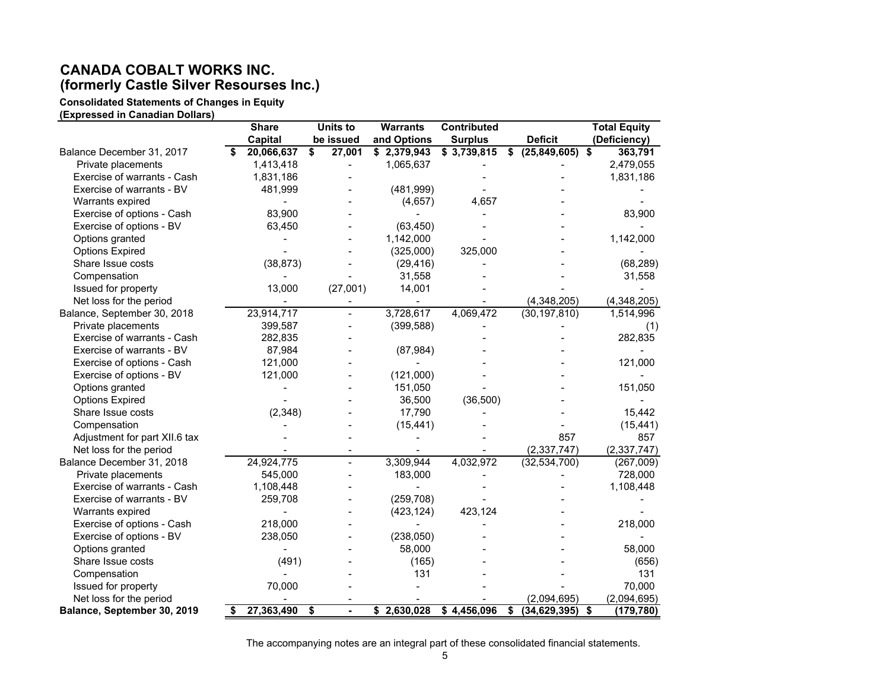## **CANADA COBALT WORKS INC. (formerly Castle Silver Resourses Inc.)**

**Consolidated Statements of Changes in Equity**

**(Expressed in Canadian Dollars)** 

|                               | <b>Share</b>     | <b>Units to</b>          | <b>Warrants</b> | <b>Contributed</b> |                                      |                    |                      | <b>Total Equity</b> |
|-------------------------------|------------------|--------------------------|-----------------|--------------------|--------------------------------------|--------------------|----------------------|---------------------|
|                               | Capital          | be issued                | and Options     | <b>Surplus</b>     |                                      | <b>Deficit</b>     |                      | (Deficiency)        |
| Balance December 31, 2017     | 20,066,637       | \$<br>27,001             | \$2,379,943     | \$3,739,815        |                                      | \$ (25,849,605) \$ |                      | 363,791             |
| Private placements            | 1,413,418        | $\overline{\phantom{0}}$ | 1,065,637       |                    |                                      |                    |                      | 2,479,055           |
| Exercise of warrants - Cash   | 1,831,186        |                          |                 |                    |                                      |                    |                      | 1,831,186           |
| Exercise of warrants - BV     | 481,999          |                          | (481,999)       |                    |                                      |                    |                      |                     |
| Warrants expired              |                  |                          | (4,657)         | 4,657              |                                      |                    |                      |                     |
| Exercise of options - Cash    | 83,900           |                          |                 |                    |                                      |                    |                      | 83,900              |
| Exercise of options - BV      | 63,450           |                          | (63, 450)       |                    |                                      |                    |                      |                     |
| Options granted               |                  |                          | 1,142,000       |                    |                                      |                    |                      | 1,142,000           |
| <b>Options Expired</b>        |                  |                          | (325,000)       | 325,000            |                                      |                    |                      |                     |
| Share Issue costs             | (38, 873)        |                          | (29, 416)       |                    |                                      |                    |                      | (68, 289)           |
| Compensation                  |                  |                          | 31,558          |                    |                                      |                    |                      | 31,558              |
| Issued for property           | 13,000           | (27,001)                 | 14,001          |                    |                                      |                    |                      |                     |
| Net loss for the period       |                  |                          |                 |                    |                                      | (4,348,205)        |                      | (4,348,205)         |
| Balance, September 30, 2018   | 23,914,717       |                          | 3,728,617       | 4,069,472          |                                      | (30, 197, 810)     |                      | 1,514,996           |
| Private placements            | 399,587          |                          | (399, 588)      |                    |                                      |                    |                      | (1)                 |
| Exercise of warrants - Cash   | 282,835          |                          |                 |                    |                                      |                    |                      | 282,835             |
| Exercise of warrants - BV     | 87,984           |                          | (87, 984)       |                    |                                      |                    |                      |                     |
| Exercise of options - Cash    | 121,000          |                          |                 |                    |                                      |                    |                      | 121,000             |
| Exercise of options - BV      | 121,000          |                          | (121,000)       |                    |                                      |                    |                      |                     |
| Options granted               |                  |                          | 151,050         |                    |                                      |                    |                      | 151,050             |
| <b>Options Expired</b>        |                  |                          | 36,500          | (36,500)           |                                      |                    |                      |                     |
| Share Issue costs             | (2,348)          |                          | 17,790          |                    |                                      |                    |                      | 15,442              |
| Compensation                  |                  |                          | (15, 441)       |                    |                                      |                    |                      | (15, 441)           |
| Adjustment for part XII.6 tax |                  |                          |                 |                    |                                      | 857                |                      | 857                 |
| Net loss for the period       |                  |                          |                 |                    |                                      | (2, 337, 747)      |                      | (2, 337, 747)       |
| Balance December 31, 2018     | 24,924,775       | $\frac{1}{2}$            | 3,309,944       | 4,032,972          |                                      | (32, 534, 700)     |                      | (267,009)           |
| Private placements            | 545,000          |                          | 183,000         |                    |                                      |                    |                      | 728,000             |
| Exercise of warrants - Cash   | 1,108,448        |                          |                 |                    |                                      |                    |                      | 1,108,448           |
| Exercise of warrants - BV     | 259,708          |                          | (259, 708)      |                    |                                      |                    |                      |                     |
| Warrants expired              |                  |                          | (423, 124)      | 423,124            |                                      |                    |                      |                     |
| Exercise of options - Cash    | 218,000          |                          |                 |                    |                                      |                    |                      | 218,000             |
| Exercise of options - BV      | 238,050          |                          | (238,050)       |                    |                                      |                    |                      |                     |
| Options granted               |                  |                          | 58,000          |                    |                                      |                    |                      | 58,000              |
| Share Issue costs             | (491)            |                          | (165)           |                    |                                      |                    |                      | (656)               |
| Compensation                  |                  |                          | 131             |                    |                                      |                    |                      | 131                 |
| Issued for property           | 70,000           |                          |                 |                    |                                      |                    |                      | 70,000              |
| Net loss for the period       |                  |                          |                 |                    |                                      | (2,094,695)        |                      | (2,094,695)         |
| Balance, September 30, 2019   | \$<br>27,363,490 | \$<br>$\blacksquare$     | \$2,630,028     | \$4,456,096        | $\overline{\boldsymbol{\mathsf{s}}}$ | (34, 629, 395)     | $\overline{\bullet}$ | (179, 780)          |

The accompanying notes are an integral part of these consolidated financial statements.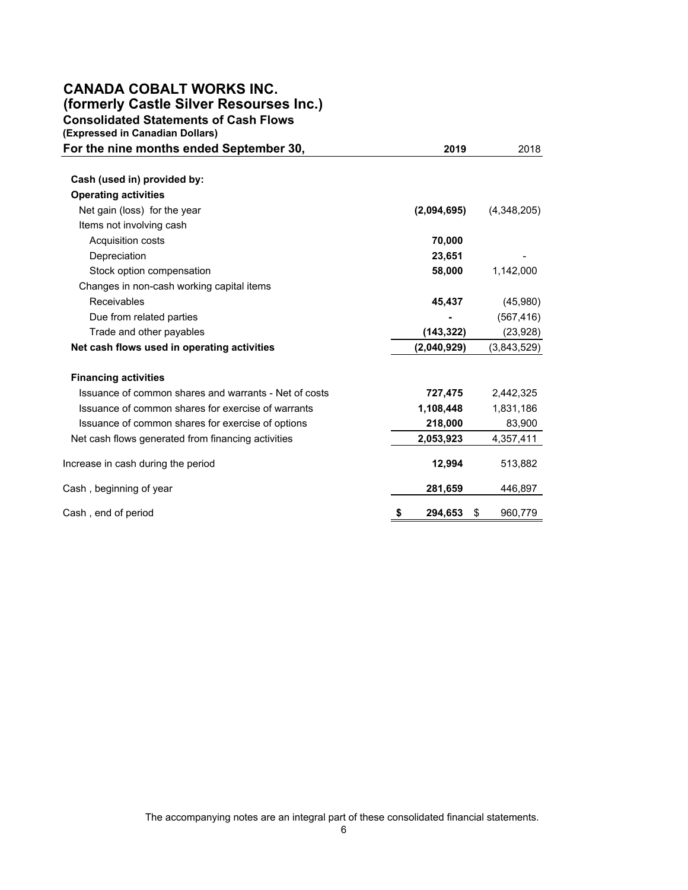## **CANADA COBALT WORKS INC. (formerly Castle Silver Resourses Inc.)**

**Consolidated Statements of Cash Flows**

**(Expressed in Canadian Dollars)** 

| For the nine months ended September 30,               | 2019          | 2018          |
|-------------------------------------------------------|---------------|---------------|
| Cash (used in) provided by:                           |               |               |
| <b>Operating activities</b>                           |               |               |
| Net gain (loss) for the year                          | (2,094,695)   | (4,348,205)   |
| Items not involving cash                              |               |               |
| Acquisition costs                                     | 70,000        |               |
| Depreciation                                          | 23,651        |               |
| Stock option compensation                             | 58,000        | 1,142,000     |
| Changes in non-cash working capital items             |               |               |
| <b>Receivables</b>                                    | 45,437        | (45,980)      |
| Due from related parties                              |               | (567, 416)    |
| Trade and other payables                              | (143,322)     | (23, 928)     |
| Net cash flows used in operating activities           | (2,040,929)   | (3,843,529)   |
| <b>Financing activities</b>                           |               |               |
| Issuance of common shares and warrants - Net of costs | 727,475       | 2,442,325     |
| Issuance of common shares for exercise of warrants    | 1,108,448     | 1,831,186     |
| Issuance of common shares for exercise of options     | 218,000       | 83,900        |
| Net cash flows generated from financing activities    | 2,053,923     | 4,357,411     |
| Increase in cash during the period                    | 12,994        | 513,882       |
| Cash , beginning of year                              | 281,659       | 446,897       |
| Cash, end of period                                   | 294,653<br>\$ | \$<br>960,779 |

The accompanying notes are an integral part of these consolidated financial statements.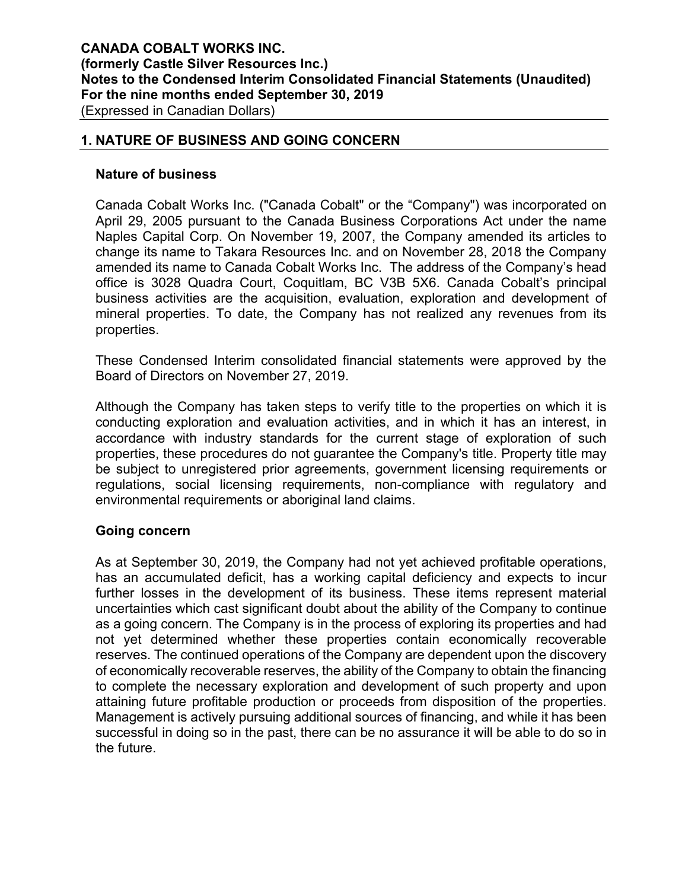## **1. NATURE OF BUSINESS AND GOING CONCERN**

#### **Nature of business**

Canada Cobalt Works Inc. ("Canada Cobalt" or the "Company") was incorporated on April 29, 2005 pursuant to the Canada Business Corporations Act under the name Naples Capital Corp. On November 19, 2007, the Company amended its articles to change its name to Takara Resources Inc. and on November 28, 2018 the Company amended its name to Canada Cobalt Works Inc. The address of the Company's head office is 3028 Quadra Court, Coquitlam, BC V3B 5X6. Canada Cobalt's principal business activities are the acquisition, evaluation, exploration and development of mineral properties. To date, the Company has not realized any revenues from its properties.

These Condensed Interim consolidated financial statements were approved by the Board of Directors on November 27, 2019.

Although the Company has taken steps to verify title to the properties on which it is conducting exploration and evaluation activities, and in which it has an interest, in accordance with industry standards for the current stage of exploration of such properties, these procedures do not guarantee the Company's title. Property title may be subject to unregistered prior agreements, government licensing requirements or regulations, social licensing requirements, non-compliance with regulatory and environmental requirements or aboriginal land claims.

#### **Going concern**

As at September 30, 2019, the Company had not yet achieved profitable operations, has an accumulated deficit, has a working capital deficiency and expects to incur further losses in the development of its business. These items represent material uncertainties which cast significant doubt about the ability of the Company to continue as a going concern. The Company is in the process of exploring its properties and had not yet determined whether these properties contain economically recoverable reserves. The continued operations of the Company are dependent upon the discovery of economically recoverable reserves, the ability of the Company to obtain the financing to complete the necessary exploration and development of such property and upon attaining future profitable production or proceeds from disposition of the properties. Management is actively pursuing additional sources of financing, and while it has been successful in doing so in the past, there can be no assurance it will be able to do so in the future.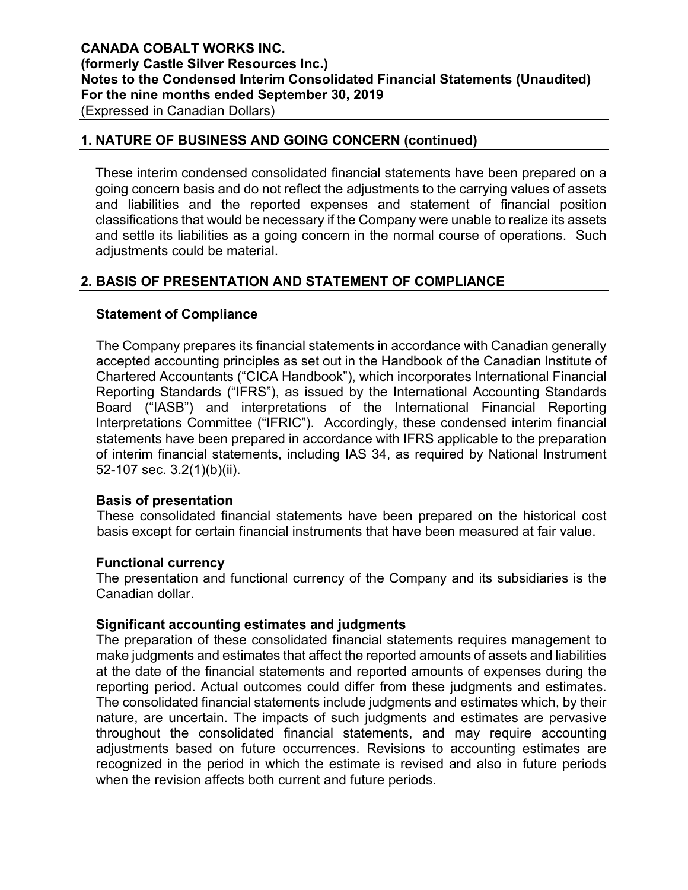## **1. NATURE OF BUSINESS AND GOING CONCERN (continued)**

These interim condensed consolidated financial statements have been prepared on a going concern basis and do not reflect the adjustments to the carrying values of assets and liabilities and the reported expenses and statement of financial position classifications that would be necessary if the Company were unable to realize its assets and settle its liabilities as a going concern in the normal course of operations. Such adjustments could be material.

## **2. BASIS OF PRESENTATION AND STATEMENT OF COMPLIANCE**

## **Statement of Compliance**

The Company prepares its financial statements in accordance with Canadian generally accepted accounting principles as set out in the Handbook of the Canadian Institute of Chartered Accountants ("CICA Handbook"), which incorporates International Financial Reporting Standards ("IFRS"), as issued by the International Accounting Standards Board ("IASB") and interpretations of the International Financial Reporting Interpretations Committee ("IFRIC"). Accordingly, these condensed interim financial statements have been prepared in accordance with IFRS applicable to the preparation of interim financial statements, including IAS 34, as required by National Instrument 52-107 sec. 3.2(1)(b)(ii).

## **Basis of presentation**

These consolidated financial statements have been prepared on the historical cost basis except for certain financial instruments that have been measured at fair value.

## **Functional currency**

The presentation and functional currency of the Company and its subsidiaries is the Canadian dollar.

## **Significant accounting estimates and judgments**

The preparation of these consolidated financial statements requires management to make judgments and estimates that affect the reported amounts of assets and liabilities at the date of the financial statements and reported amounts of expenses during the reporting period. Actual outcomes could differ from these judgments and estimates. The consolidated financial statements include judgments and estimates which, by their nature, are uncertain. The impacts of such judgments and estimates are pervasive throughout the consolidated financial statements, and may require accounting adjustments based on future occurrences. Revisions to accounting estimates are recognized in the period in which the estimate is revised and also in future periods when the revision affects both current and future periods.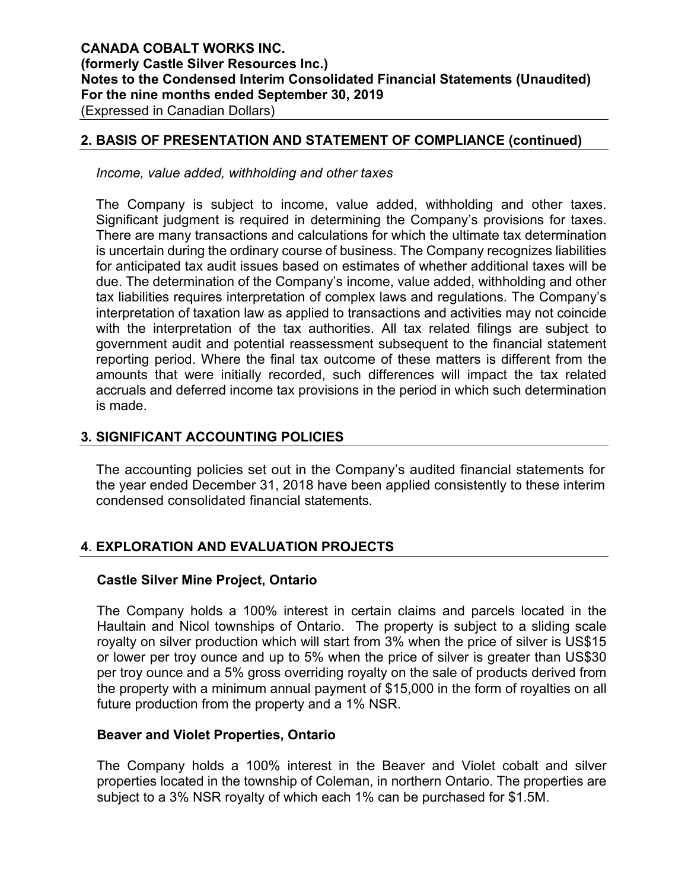#### **2. BASIS OF PRESENTATION AND STATEMENT OF COMPLIANCE (continued)**

*Income, value added, withholding and other taxes* 

The Company is subject to income, value added, withholding and other taxes. Significant judgment is required in determining the Company's provisions for taxes. There are many transactions and calculations for which the ultimate tax determination is uncertain during the ordinary course of business. The Company recognizes liabilities for anticipated tax audit issues based on estimates of whether additional taxes will be due. The determination of the Company's income, value added, withholding and other tax liabilities requires interpretation of complex laws and regulations. The Company's interpretation of taxation law as applied to transactions and activities may not coincide with the interpretation of the tax authorities. All tax related filings are subject to government audit and potential reassessment subsequent to the financial statement reporting period. Where the final tax outcome of these matters is different from the amounts that were initially recorded, such differences will impact the tax related accruals and deferred income tax provisions in the period in which such determination is made.

## **3. SIGNIFICANT ACCOUNTING POLICIES**

The accounting policies set out in the Company's audited financial statements for the year ended December 31, 2018 have been applied consistently to these interim condensed consolidated financial statements.

## **4**. **EXPLORATION AND EVALUATION PROJECTS**

#### **Castle Silver Mine Project, Ontario**

The Company holds a 100% interest in certain claims and parcels located in the Haultain and Nicol townships of Ontario. The property is subject to a sliding scale royalty on silver production which will start from 3% when the price of silver is US\$15 or lower per troy ounce and up to 5% when the price of silver is greater than US\$30 per troy ounce and a 5% gross overriding royalty on the sale of products derived from the property with a minimum annual payment of \$15,000 in the form of royalties on all future production from the property and a 1% NSR.

#### **Beaver and Violet Properties, Ontario**

The Company holds a 100% interest in the Beaver and Violet cobalt and silver properties located in the township of Coleman, in northern Ontario. The properties are subject to a 3% NSR royalty of which each 1% can be purchased for \$1.5M.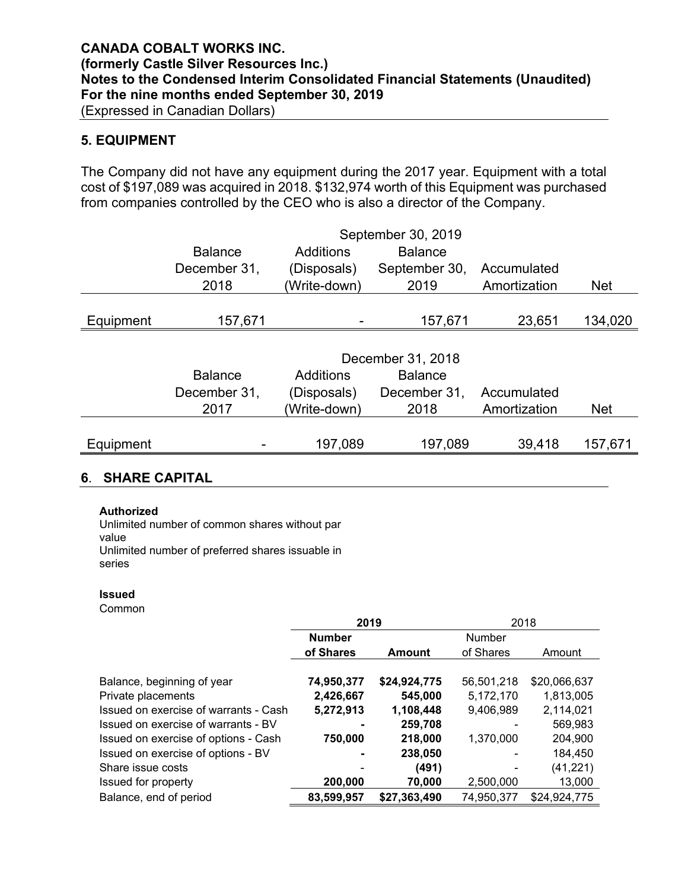## **5. EQUIPMENT**

The Company did not have any equipment during the 2017 year. Equipment with a total cost of \$197,089 was acquired in 2018. \$132,974 worth of this Equipment was purchased from companies controlled by the CEO who is also a director of the Company.

|           |                |              | September 30, 2019 |              |            |
|-----------|----------------|--------------|--------------------|--------------|------------|
|           | <b>Balance</b> | Additions    | <b>Balance</b>     |              |            |
|           | December 31,   | (Disposals)  | September 30,      | Accumulated  |            |
|           | 2018           | (Write-down) | 2019               | Amortization | <b>Net</b> |
|           |                |              |                    |              |            |
| Equipment | 157,671        |              | 157,671            | 23,651       | 134,020    |
|           |                |              |                    |              |            |
|           |                |              | December 31, 2018  |              |            |
|           | <b>Balance</b> | Additions    | <b>Balance</b>     |              |            |
|           | December 31,   | (Disposals)  | December 31,       | Accumulated  |            |
|           | 2017           | (Write-down) | 2018               | Amortization | <b>Net</b> |
|           |                |              |                    |              |            |
| Equipment |                | 197,089      | 197,089            | 39,418       | 157,671    |
|           |                |              |                    |              |            |

# **6**. **SHARE CAPITAL**

#### **Authorized**

Unlimited number of common shares without par value<br>Unlimited number of preferred shares issuable in

series

#### **Issued**

Common

|                                       | 2019          |               | 2018       |              |  |  |
|---------------------------------------|---------------|---------------|------------|--------------|--|--|
|                                       | <b>Number</b> |               | Number     |              |  |  |
|                                       | of Shares     | <b>Amount</b> | of Shares  | Amount       |  |  |
|                                       |               |               |            |              |  |  |
| Balance, beginning of year            | 74,950,377    | \$24,924,775  | 56,501,218 | \$20,066,637 |  |  |
| Private placements                    | 2,426,667     | 545,000       | 5,172,170  | 1,813,005    |  |  |
| Issued on exercise of warrants - Cash | 5,272,913     | 1,108,448     | 9,406,989  | 2,114,021    |  |  |
| Issued on exercise of warrants - BV   |               | 259,708       |            | 569,983      |  |  |
| Issued on exercise of options - Cash  | 750,000       | 218,000       | 1,370,000  | 204,900      |  |  |
| Issued on exercise of options - BV    |               | 238,050       |            | 184,450      |  |  |
| Share issue costs                     |               | (491)         |            | (41, 221)    |  |  |
| Issued for property                   | 200,000       | 70,000        | 2,500,000  | 13,000       |  |  |
| Balance, end of period                | 83,599,957    | \$27,363,490  | 74,950,377 | \$24,924,775 |  |  |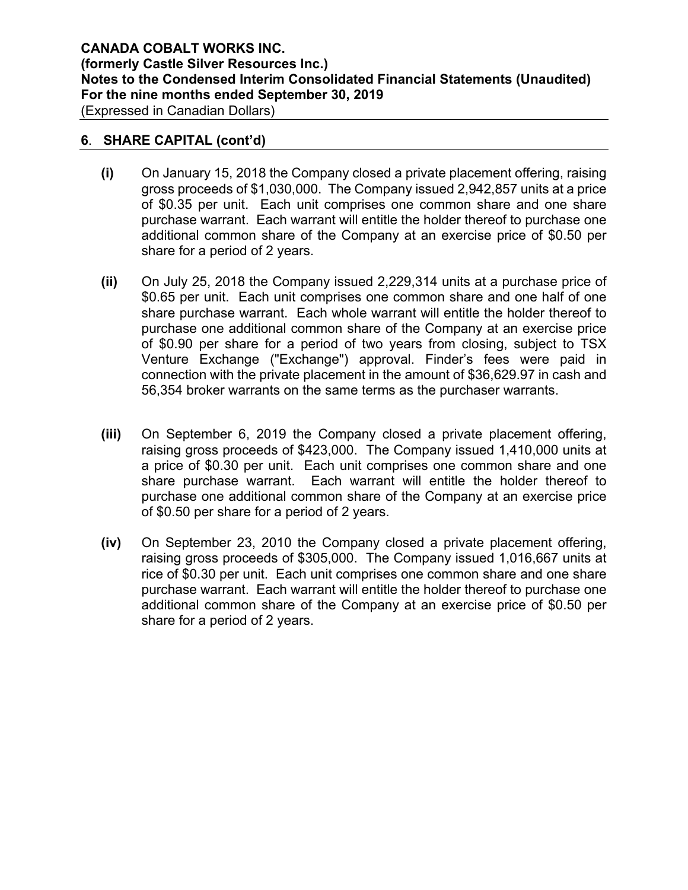## **6**. **SHARE CAPITAL (cont'd)**

- **(i)** On January 15, 2018 the Company closed a private placement offering, raising gross proceeds of \$1,030,000. The Company issued 2,942,857 units at a price of \$0.35 per unit. Each unit comprises one common share and one share purchase warrant. Each warrant will entitle the holder thereof to purchase one additional common share of the Company at an exercise price of \$0.50 per share for a period of 2 years.
- **(ii)** On July 25, 2018 the Company issued 2,229,314 units at a purchase price of \$0.65 per unit. Each unit comprises one common share and one half of one share purchase warrant. Each whole warrant will entitle the holder thereof to purchase one additional common share of the Company at an exercise price of \$0.90 per share for a period of two years from closing, subject to TSX Venture Exchange ("Exchange") approval. Finder's fees were paid in connection with the private placement in the amount of \$36,629.97 in cash and 56,354 broker warrants on the same terms as the purchaser warrants.
- **(iii)** On September 6, 2019 the Company closed a private placement offering, raising gross proceeds of \$423,000. The Company issued 1,410,000 units at a price of \$0.30 per unit. Each unit comprises one common share and one share purchase warrant. Each warrant will entitle the holder thereof to purchase one additional common share of the Company at an exercise price of \$0.50 per share for a period of 2 years.
- **(iv)** On September 23, 2010 the Company closed a private placement offering, raising gross proceeds of \$305,000. The Company issued 1,016,667 units at rice of \$0.30 per unit. Each unit comprises one common share and one share purchase warrant. Each warrant will entitle the holder thereof to purchase one additional common share of the Company at an exercise price of \$0.50 per share for a period of 2 years.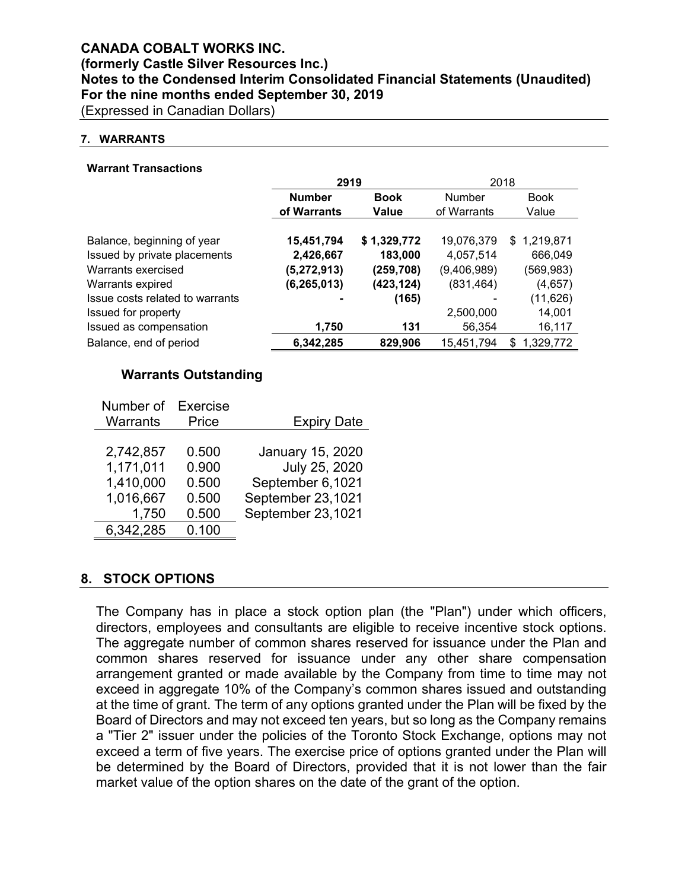# **CANADA COBALT WORKS INC. (formerly Castle Silver Resources Inc.) Notes to the Condensed Interim Consolidated Financial Statements (Unaudited) For the nine months ended September 30, 2019**

(Expressed in Canadian Dollars)

#### **7. WARRANTS**

#### **Warrant Transactions**

|                                 | 2919          |             | 2018        |                 |  |  |
|---------------------------------|---------------|-------------|-------------|-----------------|--|--|
|                                 | <b>Number</b> | <b>Book</b> | Number      | <b>Book</b>     |  |  |
|                                 | of Warrants   | Value       | of Warrants | Value           |  |  |
| Balance, beginning of year      | 15,451,794    | \$1,329,772 | 19,076,379  | \$1,219,871     |  |  |
| Issued by private placements    | 2,426,667     | 183,000     | 4,057,514   | 666,049         |  |  |
| Warrants exercised              | (5, 272, 913) | (259, 708)  | (9,406,989) | (569,983)       |  |  |
| Warrants expired                | (6,265,013)   | (423, 124)  | (831, 464)  | (4,657)         |  |  |
| Issue costs related to warrants |               | (165)       |             | (11, 626)       |  |  |
| Issued for property             |               |             | 2,500,000   | 14,001          |  |  |
| Issued as compensation          | 1,750         | 131         | 56,354      | 16,117          |  |  |
| Balance, end of period          | 6,342,285     | 829,906     | 15,451,794  | 1,329,772<br>\$ |  |  |

## **Warrants Outstanding**

| Number of | Exercise |                    |
|-----------|----------|--------------------|
| Warrants  | Price    | <b>Expiry Date</b> |
|           |          |                    |
| 2,742,857 | 0.500    | January 15, 2020   |
| 1,171,011 | 0.900    | July 25, 2020      |
| 1,410,000 | 0.500    | September 6,1021   |
| 1,016,667 | 0.500    | September 23,1021  |
| 1,750     | 0.500    | September 23,1021  |
| 6,342,285 | 0.100    |                    |

#### **8. STOCK OPTIONS**

The Company has in place a stock option plan (the "Plan") under which officers, directors, employees and consultants are eligible to receive incentive stock options. The aggregate number of common shares reserved for issuance under the Plan and common shares reserved for issuance under any other share compensation arrangement granted or made available by the Company from time to time may not exceed in aggregate 10% of the Company's common shares issued and outstanding at the time of grant. The term of any options granted under the Plan will be fixed by the Board of Directors and may not exceed ten years, but so long as the Company remains a "Tier 2" issuer under the policies of the Toronto Stock Exchange, options may not exceed a term of five years. The exercise price of options granted under the Plan will be determined by the Board of Directors, provided that it is not lower than the fair market value of the option shares on the date of the grant of the option.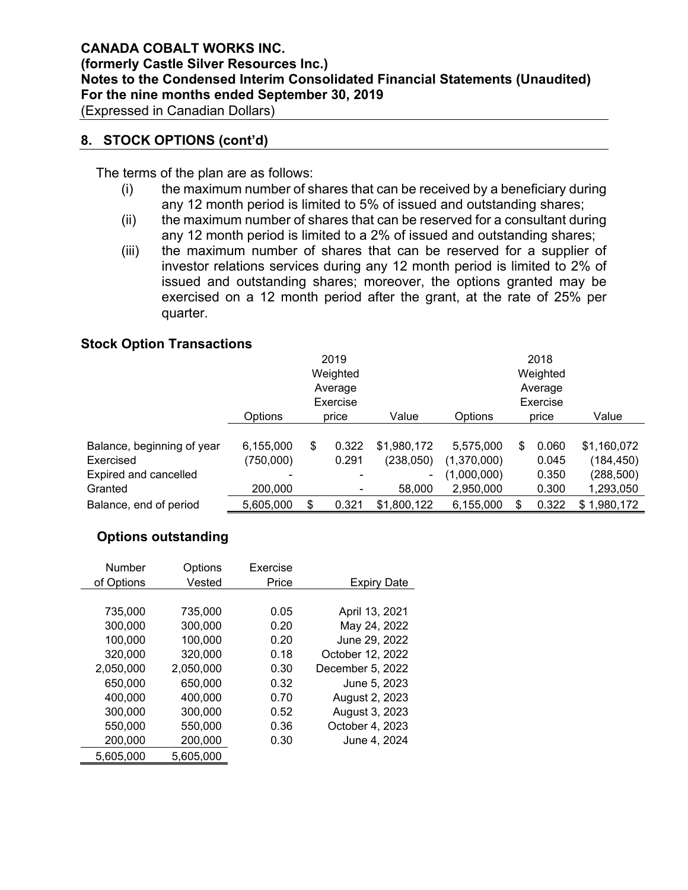## **8. STOCK OPTIONS (cont'd)**

The terms of the plan are as follows:

- (i) the maximum number of shares that can be received by a beneficiary during any 12 month period is limited to 5% of issued and outstanding shares;
- (ii) the maximum number of shares that can be reserved for a consultant during any 12 month period is limited to a 2% of issued and outstanding shares;
- (iii) the maximum number of shares that can be reserved for a supplier of investor relations services during any 12 month period is limited to 2% of issued and outstanding shares; moreover, the options granted may be exercised on a 12 month period after the grant, at the rate of 25% per quarter.

#### **Stock Option Transactions**

|                            |           |          | 2019           |             | 2018        |          |          |                  |  |  |
|----------------------------|-----------|----------|----------------|-------------|-------------|----------|----------|------------------|--|--|
|                            |           |          | Weighted       |             |             | Weighted |          |                  |  |  |
|                            |           |          | Average        |             |             |          | Average  |                  |  |  |
|                            |           | Exercise |                |             |             |          | Exercise |                  |  |  |
|                            | Options   |          | price          | Value       | Options     |          | price    | Value            |  |  |
|                            |           |          |                |             |             |          |          |                  |  |  |
| Balance, beginning of year | 6,155,000 | \$       | 0.322          | \$1,980,172 | 5,575,000   | S        | 0.060    | \$1,160,072      |  |  |
| Exercised                  | (750,000) |          | 0.291          | (238,050)   | (1,370,000) |          | 0.045    | (184, 450)       |  |  |
| Expired and cancelled      |           |          | $\blacksquare$ | ٠           | (1,000,000) |          | 0.350    | (288,500)        |  |  |
| Granted                    | 200,000   |          |                | 58,000      | 2,950,000   |          | 0.300    | 1,293,050        |  |  |
| Balance, end of period     | 5,605,000 | \$       | 0.321          | \$1,800,122 | 6,155,000   | \$       | 0.322    | 1,980,172<br>\$. |  |  |

## **Options outstanding**

| <b>Number</b> | Options   | Exercise |                    |
|---------------|-----------|----------|--------------------|
| of Options    | Vested    | Price    | <b>Expiry Date</b> |
|               |           |          |                    |
| 735,000       | 735.000   | 0.05     | April 13, 2021     |
| 300,000       | 300,000   | 0.20     | May 24, 2022       |
| 100,000       | 100,000   | 0.20     | June 29, 2022      |
| 320,000       | 320,000   | 0.18     | October 12, 2022   |
| 2,050,000     | 2,050,000 | 0.30     | December 5, 2022   |
| 650,000       | 650,000   | 0.32     | June 5, 2023       |
| 400,000       | 400,000   | 0.70     | August 2, 2023     |
| 300,000       | 300,000   | 0.52     | August 3, 2023     |
| 550,000       | 550,000   | 0.36     | October 4, 2023    |
| 200,000       | 200,000   | 0.30     | June 4, 2024       |
| 5,605,000     | 5,605,000 |          |                    |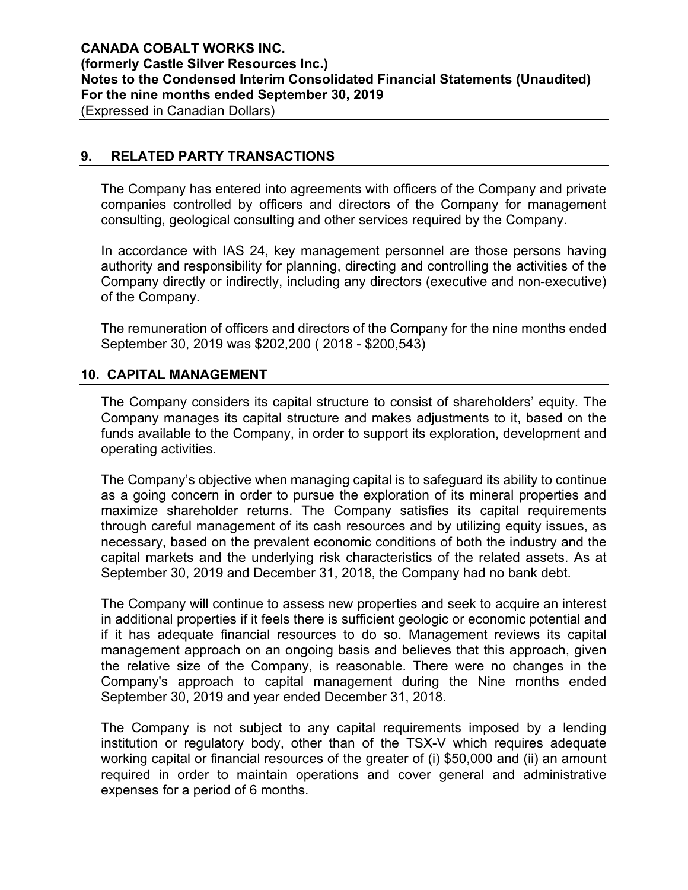## **9. RELATED PARTY TRANSACTIONS**

The Company has entered into agreements with officers of the Company and private companies controlled by officers and directors of the Company for management consulting, geological consulting and other services required by the Company.

In accordance with IAS 24, key management personnel are those persons having authority and responsibility for planning, directing and controlling the activities of the Company directly or indirectly, including any directors (executive and non-executive) of the Company.

The remuneration of officers and directors of the Company for the nine months ended September 30, 2019 was \$202,200 ( 2018 - \$200,543)

## **10. CAPITAL MANAGEMENT**

The Company considers its capital structure to consist of shareholders' equity. The Company manages its capital structure and makes adjustments to it, based on the funds available to the Company, in order to support its exploration, development and operating activities.

The Company's objective when managing capital is to safeguard its ability to continue as a going concern in order to pursue the exploration of its mineral properties and maximize shareholder returns. The Company satisfies its capital requirements through careful management of its cash resources and by utilizing equity issues, as necessary, based on the prevalent economic conditions of both the industry and the capital markets and the underlying risk characteristics of the related assets. As at September 30, 2019 and December 31, 2018, the Company had no bank debt.

The Company will continue to assess new properties and seek to acquire an interest in additional properties if it feels there is sufficient geologic or economic potential and if it has adequate financial resources to do so. Management reviews its capital management approach on an ongoing basis and believes that this approach, given the relative size of the Company, is reasonable. There were no changes in the Company's approach to capital management during the Nine months ended September 30, 2019 and year ended December 31, 2018.

The Company is not subject to any capital requirements imposed by a lending institution or regulatory body, other than of the TSX-V which requires adequate working capital or financial resources of the greater of (i) \$50,000 and (ii) an amount required in order to maintain operations and cover general and administrative expenses for a period of 6 months.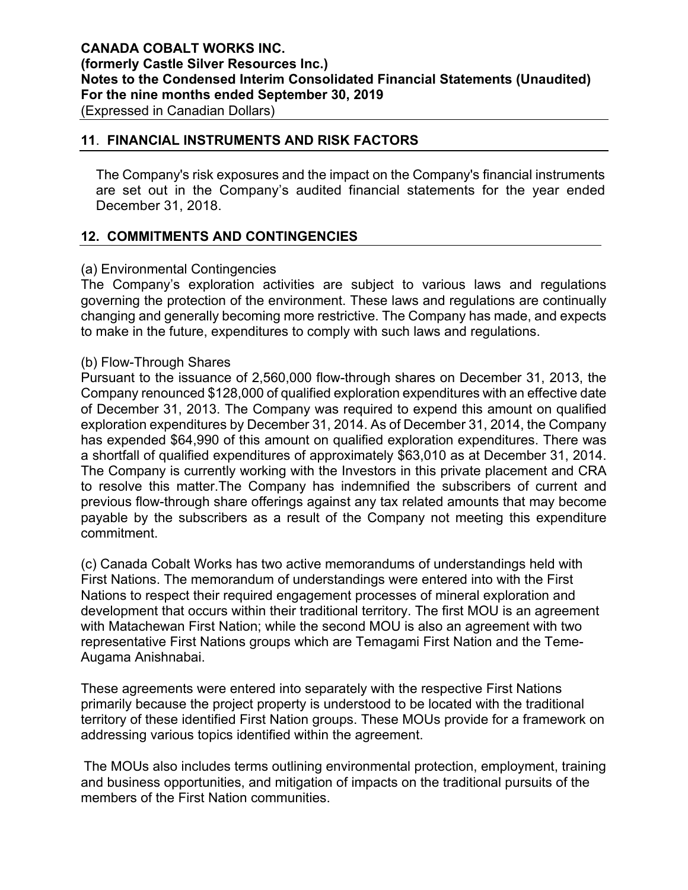## **11**. **FINANCIAL INSTRUMENTS AND RISK FACTORS**

The Company's risk exposures and the impact on the Company's financial instruments are set out in the Company's audited financial statements for the year ended December 31, 2018.

# **12. COMMITMENTS AND CONTINGENCIES**

## (a) Environmental Contingencies

The Company's exploration activities are subject to various laws and regulations governing the protection of the environment. These laws and regulations are continually changing and generally becoming more restrictive. The Company has made, and expects to make in the future, expenditures to comply with such laws and regulations.

## (b) Flow-Through Shares

Pursuant to the issuance of 2,560,000 flow-through shares on December 31, 2013, the Company renounced \$128,000 of qualified exploration expenditures with an effective date of December 31, 2013. The Company was required to expend this amount on qualified exploration expenditures by December 31, 2014. As of December 31, 2014, the Company has expended \$64,990 of this amount on qualified exploration expenditures. There was a shortfall of qualified expenditures of approximately \$63,010 as at December 31, 2014. The Company is currently working with the Investors in this private placement and CRA to resolve this matter.The Company has indemnified the subscribers of current and previous flow-through share offerings against any tax related amounts that may become payable by the subscribers as a result of the Company not meeting this expenditure commitment.

(c) Canada Cobalt Works has two active memorandums of understandings held with First Nations. The memorandum of understandings were entered into with the First Nations to respect their required engagement processes of mineral exploration and development that occurs within their traditional territory. The first MOU is an agreement with Matachewan First Nation; while the second MOU is also an agreement with two representative First Nations groups which are Temagami First Nation and the Teme-Augama Anishnabai.

These agreements were entered into separately with the respective First Nations primarily because the project property is understood to be located with the traditional territory of these identified First Nation groups. These MOUs provide for a framework on addressing various topics identified within the agreement.

The MOUs also includes terms outlining environmental protection, employment, training and business opportunities, and mitigation of impacts on the traditional pursuits of the members of the First Nation communities.